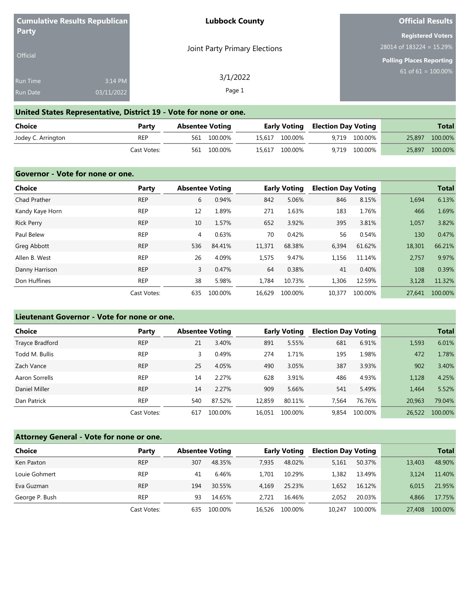|                 | Cumulative Results Republican | <b>Lubbock County</b>         | <b>Official Results</b>     |
|-----------------|-------------------------------|-------------------------------|-----------------------------|
| <b>Party</b>    |                               |                               | <b>Registered Voters</b>    |
|                 |                               | Joint Party Primary Elections | 28014 of $183224 = 15.29\%$ |
| <b>Official</b> |                               |                               | Polling Places Reporting    |
| <b>Run Time</b> | 3:14 PM                       | 3/1/2022                      | $61$ of 61 = 100.00%        |
| <b>Run Date</b> | 03/11/2022                    | Page 1                        |                             |

## **United States Representative, District 19 - Vote for none or one.**

| Choice             | Party       | <b>Absentee Voting</b> |             |                | <b>Early Voting Election Day Voting</b> |               | <b>Total</b>   |
|--------------------|-------------|------------------------|-------------|----------------|-----------------------------------------|---------------|----------------|
| Jodey C. Arrington | <b>REP</b>  |                        | 561 100.00% | 15.617 100.00% |                                         | 9.719 100.00% | 25,897 100.00% |
|                    | Cast Votes: |                        | 561 100.00% | 15,617 100.00% |                                         | 9,719 100.00% | 25,897 100.00% |

| Governor - Vote for none or one. |             |     |                        |        |                     |                            |         |        |              |
|----------------------------------|-------------|-----|------------------------|--------|---------------------|----------------------------|---------|--------|--------------|
| <b>Choice</b>                    | Party       |     | <b>Absentee Voting</b> |        | <b>Early Voting</b> | <b>Election Day Voting</b> |         |        | <b>Total</b> |
| Chad Prather                     | <b>REP</b>  | 6   | 0.94%                  | 842    | 5.06%               | 846                        | 8.15%   | 1,694  | 6.13%        |
| Kandy Kaye Horn                  | <b>REP</b>  | 12  | 1.89%                  | 271    | 1.63%               | 183                        | 1.76%   | 466    | 1.69%        |
| <b>Rick Perry</b>                | <b>REP</b>  | 10  | 1.57%                  | 652    | 3.92%               | 395                        | 3.81%   | 1,057  | 3.82%        |
| Paul Belew                       | <b>REP</b>  | 4   | 0.63%                  | 70     | 0.42%               | 56                         | 0.54%   | 130    | 0.47%        |
| Greg Abbott                      | <b>REP</b>  | 536 | 84.41%                 | 11,371 | 68.38%              | 6,394                      | 61.62%  | 18,301 | 66.21%       |
| Allen B. West                    | <b>REP</b>  | 26  | 4.09%                  | 1,575  | 9.47%               | 1,156                      | 11.14%  | 2.757  | 9.97%        |
| Danny Harrison                   | <b>REP</b>  | 3   | 0.47%                  | 64     | 0.38%               | 41                         | 0.40%   | 108    | 0.39%        |
| Don Huffines                     | <b>REP</b>  | 38  | 5.98%                  | 1.784  | 10.73%              | 1,306                      | 12.59%  | 3,128  | 11.32%       |
|                                  | Cast Votes: | 635 | 100.00%                | 16.629 | 100.00%             | 10,377                     | 100.00% | 27.641 | 100.00%      |

## **Lieutenant Governor - Vote for none or one.**

| Choice          | Party       |     | <b>Absentee Voting</b> |        | <b>Early Voting</b> | <b>Election Day Voting</b> |         |        | <b>Total</b> |
|-----------------|-------------|-----|------------------------|--------|---------------------|----------------------------|---------|--------|--------------|
| Trayce Bradford | <b>REP</b>  | 21  | 3.40%                  | 891    | 5.55%               | 681                        | 6.91%   | 1,593  | 6.01%        |
| Todd M. Bullis  | <b>REP</b>  | 3   | 0.49%                  | 274    | 1.71%               | 195                        | 1.98%   | 472    | 1.78%        |
| Zach Vance      | <b>REP</b>  | 25  | 4.05%                  | 490    | 3.05%               | 387                        | 3.93%   | 902    | 3.40%        |
| Aaron Sorrells  | <b>REP</b>  | 14  | 2.27%                  | 628    | 3.91%               | 486                        | 4.93%   | 1,128  | 4.25%        |
| Daniel Miller   | <b>REP</b>  | 14  | 2.27%                  | 909    | 5.66%               | 541                        | 5.49%   | 1.464  | 5.52%        |
| Dan Patrick     | <b>REP</b>  | 540 | 87.52%                 | 12.859 | 80.11%              | 7.564                      | 76.76%  | 20,963 | 79.04%       |
|                 | Cast Votes: | 617 | 100.00%                | 16.051 | 100.00%             | 9.854                      | 100.00% | 26,522 | 100.00%      |

## **Attorney General - Vote for none or one.**

| <b>Choice</b>  | Party       | <b>Absentee Voting</b> |         |        | <b>Early Voting</b> | <b>Election Day Voting</b> |         |        | <b>Total</b> |
|----------------|-------------|------------------------|---------|--------|---------------------|----------------------------|---------|--------|--------------|
| Ken Paxton     | <b>REP</b>  | 307                    | 48.35%  | 7.935  | 48.02%              | 5,161                      | 50.37%  | 13,403 | 48.90%       |
| Louie Gohmert  | <b>REP</b>  | 41                     | 6.46%   | 1.701  | 10.29%              | 1,382                      | 13.49%  | 3.124  | 11.40%       |
| Eva Guzman     | <b>REP</b>  | 194                    | 30.55%  | 4.169  | 25.23%              | 1.652                      | 16.12%  | 6.015  | 21.95%       |
| George P. Bush | <b>REP</b>  | 93                     | 14.65%  | 2.721  | 16.46%              | 2.052                      | 20.03%  | 4.866  | 17.75%       |
|                | Cast Votes: | 635                    | 100.00% | 16,526 | 100.00%             | 10.247                     | 100.00% | 27,408 | 100.00%      |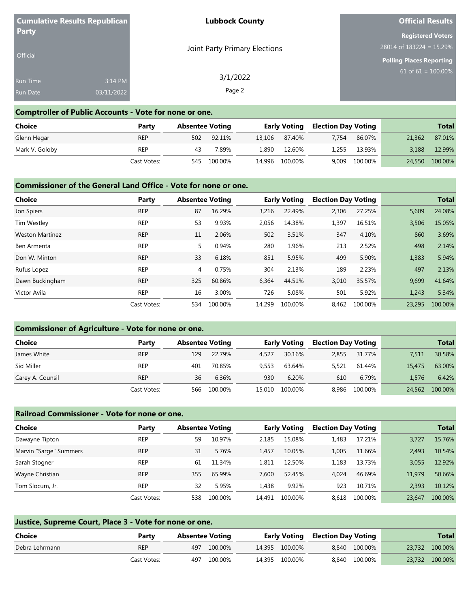|                 | <b>Cumulative Results Republican</b> | <b>Lubbock County</b>         | <b>Official Results</b>    |
|-----------------|--------------------------------------|-------------------------------|----------------------------|
| Party           |                                      |                               | <b>Registered Voters</b>   |
|                 |                                      | Joint Party Primary Elections | $28014$ of 183224 = 15.29% |
| <b>Official</b> |                                      |                               | Polling Places Reporting   |
| <b>Run Time</b> | 3:14 PM                              | 3/1/2022                      | 61 of $61 = 100.00\%$      |
| <b>Run Date</b> | 03/11/2022                           | Page 2                        |                            |

### **Comptroller of Public Accounts - Vote for none or one.**

| Choice         | Party       | <b>Absentee Voting</b> |            |       | <b>Early Voting</b> | <b>Election Day Voting</b> |         |        | <b>Total</b> |
|----------------|-------------|------------------------|------------|-------|---------------------|----------------------------|---------|--------|--------------|
| Glenn Hegar    | <b>REP</b>  |                        | 502 92.11% |       | 13,106 87.40%       | 7.754                      | 86.07%  | 21,362 | 87.01%       |
| Mark V. Goloby | <b>REP</b>  | 43                     | 7.89%      | 1,890 | 12.60%              | 1.255                      | 13.93%  | 3.188  | 12.99%       |
|                | Cast Votes: | 545                    | 100.00%    |       | 14,996 100.00%      | 9,009                      | 100.00% | 24,550 | 100.00%      |

#### **Commissioner of the General Land Office - Vote for none or one.**

| <b>Choice</b>          | Party       |     | <b>Absentee Voting</b> |        | <b>Early Voting</b> | <b>Election Day Voting</b> |         |        | <b>Total</b> |
|------------------------|-------------|-----|------------------------|--------|---------------------|----------------------------|---------|--------|--------------|
| Jon Spiers             | <b>REP</b>  | 87  | 16.29%                 | 3.216  | 22.49%              | 2.306                      | 27.25%  | 5,609  | 24.08%       |
| Tim Westley            | <b>REP</b>  | 53  | 9.93%                  | 2,056  | 14.38%              | 1,397                      | 16.51%  | 3,506  | 15.05%       |
| <b>Weston Martinez</b> | <b>REP</b>  | 11  | 2.06%                  | 502    | 3.51%               | 347                        | 4.10%   | 860    | 3.69%        |
| Ben Armenta            | <b>REP</b>  | 5   | 0.94%                  | 280    | 1.96%               | 213                        | 2.52%   | 498    | 2.14%        |
| Don W. Minton          | <b>REP</b>  | 33  | 6.18%                  | 851    | 5.95%               | 499                        | 5.90%   | 1,383  | 5.94%        |
| Rufus Lopez            | <b>REP</b>  | 4   | 0.75%                  | 304    | 2.13%               | 189                        | 2.23%   | 497    | 2.13%        |
| Dawn Buckingham        | <b>REP</b>  | 325 | 60.86%                 | 6.364  | 44.51%              | 3.010                      | 35.57%  | 9.699  | 41.64%       |
| Victor Avila           | <b>REP</b>  | 16  | 3.00%                  | 726    | 5.08%               | 501                        | 5.92%   | 1.243  | 5.34%        |
|                        | Cast Votes: | 534 | 100.00%                | 14.299 | 100.00%             | 8.462                      | 100.00% | 23.295 | 100.00%      |

#### **Commissioner of Agriculture - Vote for none or one.**

| Choice           | Party       |     | <b>Absentee Voting</b> |        | <b>Early Voting</b> | <b>Election Day Voting</b> |         |        | <b>Total</b> |
|------------------|-------------|-----|------------------------|--------|---------------------|----------------------------|---------|--------|--------------|
| James White      | <b>REP</b>  | 129 | 22.79%                 | 4.527  | 30.16%              | 2.855                      | 31.77%  | 7.511  | 30.58%       |
| Sid Miller       | <b>REP</b>  | 401 | 70.85%                 | 9.553  | 63.64%              | 5,521                      | 61.44%  | 15,475 | 63.00%       |
| Carey A. Counsil | <b>REP</b>  | 36  | 6.36%                  | 930    | 6.20%               | 610                        | 6.79%   | 1.576  | 6.42%        |
|                  | Cast Votes: | 566 | 100.00%                | 15,010 | 100.00%             | 8.986                      | 100.00% | 24,562 | 100.00%      |

#### **Railroad Commissioner - Vote for none or one.**

| <b>Choice</b>          | Party       | <b>Absentee Voting</b> |         |        | <b>Early Voting</b> | <b>Election Day Voting</b> |         |        | <b>Total</b> |
|------------------------|-------------|------------------------|---------|--------|---------------------|----------------------------|---------|--------|--------------|
| Dawayne Tipton         | <b>REP</b>  | 59                     | 10.97%  | 2.185  | 15.08%              | 1.483                      | 17.21%  | 3.727  | 15.76%       |
| Marvin "Sarge" Summers | <b>REP</b>  | 31                     | 5.76%   | 1.457  | 10.05%              | 1.005                      | 11.66%  | 2.493  | 10.54%       |
| Sarah Stogner          | <b>REP</b>  | 61                     | 11.34%  | 1.811  | 12.50%              | 1.183                      | 13.73%  | 3.055  | 12.92%       |
| Wayne Christian        | <b>REP</b>  | 355                    | 65.99%  | 7.600  | 52.45%              | 4.024                      | 46.69%  | 11.979 | 50.66%       |
| Tom Slocum, Jr.        | <b>REP</b>  | 32                     | 5.95%   | 1.438  | 9.92%               | 923                        | 10.71%  | 2.393  | 10.12%       |
|                        | Cast Votes: | 538                    | 100.00% | 14.491 | 100.00%             | 8.618                      | 100.00% | 23.647 | 100.00%      |

| Justice, Supreme Court, Place 3 - Vote for none or one. |             |                        |             |  |                |                                         |               |  |                |  |  |
|---------------------------------------------------------|-------------|------------------------|-------------|--|----------------|-----------------------------------------|---------------|--|----------------|--|--|
| Choice                                                  | Party       | <b>Absentee Voting</b> |             |  |                | <b>Early Voting Election Day Voting</b> |               |  | <b>Total</b>   |  |  |
| Debra Lehrmann                                          | <b>REP</b>  |                        | 497 100.00% |  | 14.395 100.00% |                                         | 8.840 100.00% |  | 23,732 100.00% |  |  |
|                                                         | Cast Votes: |                        | 497 100.00% |  | 14.395 100.00% |                                         | 8.840 100.00% |  | 23,732 100.00% |  |  |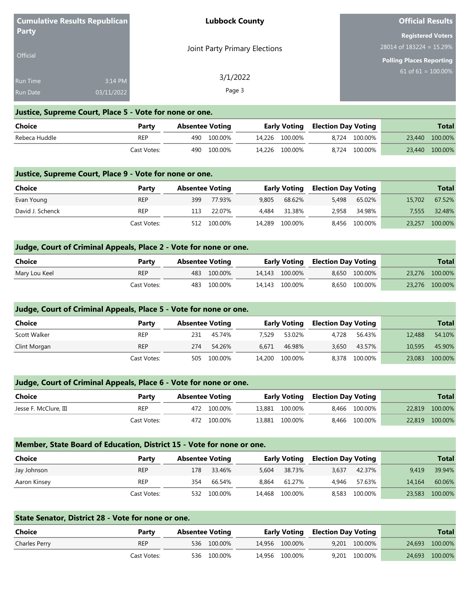|                 | <b>Cumulative Results Republican</b> | <b>Lubbock County</b>         | <b>Official Results</b>         |
|-----------------|--------------------------------------|-------------------------------|---------------------------------|
| <b>Party</b>    |                                      |                               | <b>Registered Voters</b>        |
| <b>Official</b> |                                      | Joint Party Primary Elections | $28014$ of $183224 = 15.29\%$   |
|                 |                                      |                               | <b>Polling Places Reporting</b> |
| <b>Run Time</b> | 3:14 PM                              | 3/1/2022                      | $61$ of 61 = 100.00%            |
| <b>Run Date</b> | 03/11/2022                           | Page 3                        |                                 |

### **Justice, Supreme Court, Place 5 - Vote for none or one.**

| Choice        | Party       | Absentee Voting |             |                | <b>Early Voting Election Day Voting</b> |               | <b>Total</b>   |
|---------------|-------------|-----------------|-------------|----------------|-----------------------------------------|---------------|----------------|
| Rebeca Huddle | REP         |                 | 490 100.00% | 14.226 100.00% |                                         | 8.724 100.00% | 23,440 100.00% |
|               | Cast Votes: |                 | 490 100.00% | 14,226 100.00% |                                         | 8,724 100.00% | 23,440 100.00% |

#### **Justice, Supreme Court, Place 9 - Vote for none or one.**

| Choice           | Party       | <b>Absentee Voting</b> |             |       | Early Voting   | <b>Election Day Voting</b> |               |        | <b>Total</b> |
|------------------|-------------|------------------------|-------------|-------|----------------|----------------------------|---------------|--------|--------------|
| Evan Young       | <b>REP</b>  | 399                    | 77.93%      | 9.805 | 68.62%         | 5.498                      | 65.02%        | 15,702 | 67.52%       |
| David J. Schenck | <b>REP</b>  | 113                    | 22.07%      | 4.484 | 31.38%         | 2.958                      | 34.98%        | 7.555  | 32.48%       |
|                  | Cast Votes: |                        | 512 100.00% |       | 14,289 100.00% |                            | 8,456 100.00% | 23,257 | 100.00%      |

### **Judge, Court of Criminal Appeals, Place 2 - Vote for none or one.**

| <b>Choice</b> | Party       | Absentee Voting |             |                | <b>Early Voting Election Day Voting</b> |               | Total          |
|---------------|-------------|-----------------|-------------|----------------|-----------------------------------------|---------------|----------------|
| Mary Lou Keel | <b>REP</b>  |                 | 483 100.00% | 14.143 100.00% |                                         | 8.650 100.00% | 23,276 100.00% |
|               | Cast Votes: |                 | 483 100.00% | 14.143 100.00% |                                         | 8.650 100.00% | 23.276 100.00% |

| Judge, Court of Criminal Appeals, Place 5 - Vote for none or one. |             |                        |         |        |                     |       |                            |        |              |
|-------------------------------------------------------------------|-------------|------------------------|---------|--------|---------------------|-------|----------------------------|--------|--------------|
| Choice                                                            | Party       | <b>Absentee Voting</b> |         |        | <b>Early Voting</b> |       | <b>Election Day Voting</b> |        | <b>Total</b> |
| Scott Walker                                                      | <b>REP</b>  | 231                    | 45.74%  | 7.529  | 53.02%              | 4.728 | 56.43%                     | 12,488 | 54.10%       |
| Clint Morgan                                                      | <b>REP</b>  | 274                    | 54.26%  | 6.671  | 46.98%              | 3.650 | 43.57%                     | 10,595 | 45.90%       |
|                                                                   | Cast Votes: | 505                    | 100.00% | 14,200 | 100.00%             |       | 8,378 100.00%              | 23,083 | 100.00%      |

### **Judge, Court of Criminal Appeals, Place 6 - Vote for none or one.**

| <b>Choice</b>         | Party       | Absentee Voting |             |                | <b>Early Voting Election Day Voting</b> |               | Total          |
|-----------------------|-------------|-----------------|-------------|----------------|-----------------------------------------|---------------|----------------|
| Jesse F. McClure, III | <b>REP</b>  |                 | 472 100.00% | 13.881 100.00% |                                         | 8.466 100.00% | 22,819 100.00% |
|                       | Cast Votes: |                 | 472 100.00% | 13.881 100.00% |                                         | 8.466 100.00% | 22,819 100.00% |

#### **Member, State Board of Education, District 15 - Vote for none or one.**

| <b>Choice</b> | Party       | <b>Absentee Voting</b> |             |       | <b>Early Voting</b> | <b>Election Day Voting</b> |               |        | <b>Total</b> |
|---------------|-------------|------------------------|-------------|-------|---------------------|----------------------------|---------------|--------|--------------|
| Jay Johnson   | <b>REP</b>  | 178                    | 33.46%      | 5.604 | 38.73%              | 3.637                      | 42.37%        | 9.419  | 39.94%       |
| Aaron Kinsey  | <b>REP</b>  | 354                    | 66.54%      | 8.864 | 61.27%              | 4.946                      | 57.63%        | 14.164 | 60.06%       |
|               | Cast Votes: |                        | 532 100.00% |       | 14,468 100.00%      |                            | 8,583 100.00% | 23,583 | 100.00%      |

| State Senator, District 28 - Vote for none or one. |             |  |                        |  |                |  |                            |  |                |  |  |
|----------------------------------------------------|-------------|--|------------------------|--|----------------|--|----------------------------|--|----------------|--|--|
| Choice                                             | Party       |  | <b>Absentee Voting</b> |  | Early Voting   |  | <b>Election Day Voting</b> |  | <b>Total</b>   |  |  |
| Charles Perry                                      | <b>REP</b>  |  | 536 100.00%            |  | 14.956 100.00% |  | 9.201 100.00%              |  | 24,693 100.00% |  |  |
|                                                    | Cast Votes: |  | 536 100,00%            |  | 14.956 100.00% |  | 9.201 100.00%              |  | 24,693 100.00% |  |  |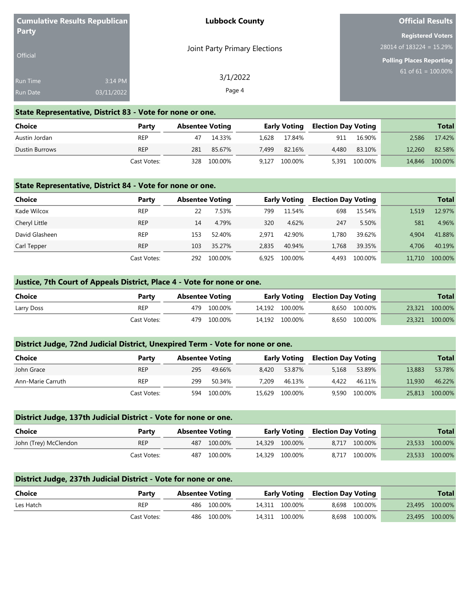|                 | Cumulative Results Republican | <b>Lubbock County</b>         | <b>Official Results</b>         |
|-----------------|-------------------------------|-------------------------------|---------------------------------|
| Party           |                               |                               | <b>Registered Voters</b>        |
|                 |                               | Joint Party Primary Elections | $28014$ of $183224 = 15.29\%$   |
| <b>Official</b> |                               |                               | <b>Polling Places Reporting</b> |
| Run Time        | 3:14 PM                       | 3/1/2022                      | 61 of 61 = $100.00\%$           |
| <b>Run Date</b> | 03/11/2022                    | Page 4                        |                                 |

#### **State Representative, District 83 - Vote for none or one.**

| Choice         | Party       | <b>Absentee Voting</b> |         |       | <b>Early Voting</b> | Election Day Voting |         |        | <b>Total</b> |
|----------------|-------------|------------------------|---------|-------|---------------------|---------------------|---------|--------|--------------|
| Austin Jordan  | <b>REP</b>  | 47                     | 14.33%  |       | 1.628 17.84%        | 911                 | 16.90%  | 2.586  | 17.42%       |
| Dustin Burrows | <b>REP</b>  | 281                    | 85.67%  | 7.499 | 82.16%              | 4.480               | 83.10%  | 12.260 | 82.58%       |
|                | Cast Votes: | 328                    | 100.00% | 9,127 | 100.00%             | 5,391               | 100.00% | 14,846 | 100.00%      |

#### **State Representative, District 84 - Vote for none or one.**

| <b>Choice</b>  | Party       | <b>Absentee Voting</b> |         |       | Early Voting | <b>Election Day Voting</b> |         |        | <b>Total</b> |
|----------------|-------------|------------------------|---------|-------|--------------|----------------------------|---------|--------|--------------|
| Kade Wilcox    | <b>REP</b>  |                        | 7.53%   | 799   | 11.54%       | 698                        | 15.54%  | 1.519  | 12.97%       |
| Cheryl Little  | <b>REP</b>  | 14                     | 4.79%   | 320   | 4.62%        | 247                        | 5.50%   | 581    | 4.96%        |
| David Glasheen | <b>REP</b>  | 153                    | 52.40%  | 2.971 | 42.90%       | 1.780                      | 39.62%  | 4.904  | 41.88%       |
| Carl Tepper    | <b>REP</b>  | 103                    | 35.27%  | 2.835 | 40.94%       | 1.768                      | 39.35%  | 4.706  | 40.19%       |
|                | Cast Votes: | 292                    | 100.00% | 6.925 | 100.00%      | 4.493                      | 100.00% | 11,710 | 100.00%      |

#### **Justice, 7th Court of Appeals District, Place 4 - Vote for none or one.**

| <b>Choice</b> | Party       | <b>Absentee Voting</b> |             | <b>Early Voting Election Day Voting</b> |  |               | <b>Total</b>   |
|---------------|-------------|------------------------|-------------|-----------------------------------------|--|---------------|----------------|
| Larry Doss    | <b>REP</b>  |                        | 479 100.00% | 14.192 100.00%                          |  | 8.650 100.00% | 23,321 100.00% |
|               | Cast Votes: |                        | 479 100.00% | 14,192 100.00%                          |  | 8,650 100.00% | 23,321 100.00% |

#### **District Judge, 72nd Judicial District, Unexpired Term - Vote for none or one.**

| <b>Choice</b>     | Party       | <b>Absentee Voting</b> |         |       | <b>Early Voting</b> | <b>Election Day Voting</b> |         |        | <b>Total</b> |
|-------------------|-------------|------------------------|---------|-------|---------------------|----------------------------|---------|--------|--------------|
| John Grace        | <b>REP</b>  | 295                    | 49.66%  | 8.420 | 53.87%              | 5.168                      | 53.89%  | 13,883 | 53.78%       |
| Ann-Marie Carruth | <b>REP</b>  | 299                    | 50.34%  | 7.209 | 46.13%              | 4.422                      | 46.11%  | 11,930 | 46.22%       |
|                   | Cast Votes: | 594                    | 100.00% |       | 15.629 100.00%      | 9,590                      | 100.00% | 25,813 | 100.00%      |

## **District Judge, 137th Judicial District - Vote for none or one. Choice Party Absentee Voting Early Voting Election Day Voting Total** John (Trey) McClendon REP 487 100.00% 14,329 100.00% 8,717 100.00% 23,533 100.00% Cast Votes: 487 100.00% 14,329 100.00% 8,717 100.00% 23,533 100.00%

#### **District Judge, 237th Judicial District - Vote for none or one.**

| Choice    | Party       | Absentee Voting |             |                | <b>Early Voting Election Day Voting</b> |               | <b>Total</b>   |
|-----------|-------------|-----------------|-------------|----------------|-----------------------------------------|---------------|----------------|
| Les Hatch | REP         |                 | 486 100.00% | 14.311 100.00% |                                         | 8,698 100.00% | 23,495 100.00% |
|           | Cast Votes: |                 | 486 100.00% | 14.311 100.00% |                                         | 8,698 100.00% | 23,495 100.00% |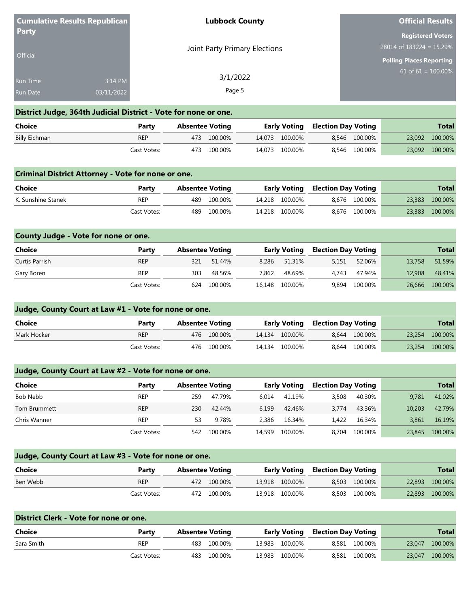|                 | <b>Cumulative Results Republican</b> | <b>Lubbock County</b>         | <b>Official Results</b>     |
|-----------------|--------------------------------------|-------------------------------|-----------------------------|
| <b>Party</b>    |                                      |                               | <b>Registered Voters</b>    |
| <b>Official</b> |                                      | Joint Party Primary Elections | 28014 of $183224 = 15.29\%$ |
|                 |                                      |                               | Polling Places Reporting    |
| <b>Run Time</b> | 3:14 PM                              | 3/1/2022                      | 61 of $61 = 100.00\%$       |
| <b>Run Date</b> | 03/11/2022                           | Page 5                        |                             |

#### **District Judge, 364th Judicial District - Vote for none or one.**

| Choice        | Party       | <b>Absentee Voting</b> |             |                | <b>Early Voting Election Day Voting</b> |               | <b>Total</b>   |
|---------------|-------------|------------------------|-------------|----------------|-----------------------------------------|---------------|----------------|
| Billy Eichman | <b>REP</b>  |                        | 473 100.00% | 14.073 100.00% |                                         | 8.546 100.00% | 23,092 100.00% |
|               | Cast Votes: |                        | 473 100.00% | 14,073 100.00% |                                         | 8.546 100.00% | 23,092 100.00% |

#### **Criminal District Attorney - Vote for none or one.**

| Choice             | Party       | Absentee Voting |             |                | <b>Early Voting Election Day Voting</b> |               | Total          |
|--------------------|-------------|-----------------|-------------|----------------|-----------------------------------------|---------------|----------------|
| K. Sunshine Stanek | REP         |                 | 489 100.00% | 14.218 100.00% |                                         | 8.676 100.00% | 23,383 100.00% |
|                    | Cast Votes: | 489             | 100.00%     | 14.218 100.00% |                                         | 8.676 100.00% | 23,383 100.00% |

| County Judge - Vote for none or one. |             |                        |         |       |                     |                            |               |        |              |
|--------------------------------------|-------------|------------------------|---------|-------|---------------------|----------------------------|---------------|--------|--------------|
| Choice                               | Party       | <b>Absentee Voting</b> |         |       | <b>Early Voting</b> | <b>Election Day Voting</b> |               |        | <b>Total</b> |
| Curtis Parrish                       | <b>REP</b>  | 321                    | 51.44%  | 8.286 | 51.31%              | 5.151                      | 52.06%        | 13,758 | 51.59%       |
| Gary Boren                           | <b>REP</b>  | 303                    | 48.56%  | 7.862 | 48.69%              | 4.743                      | 47.94%        | 12,908 | 48.41%       |
|                                      | Cast Votes: | 624                    | 100.00% |       | 16,148 100.00%      |                            | 9,894 100.00% | 26,666 | 100.00%      |

## **Judge, County Court at Law #1 - Vote for none or one. Choice Party Absentee Voting Early Voting Election Day Voting Total** Mark Hocker **18.2.254 100.00%** REP 476 100.00% 14,134 100.00% 8,644 100.00% 23,254 100.00% Cast Votes: 476 100.00% 14,134 100.00% 8,644 100.00% 23,254 100.00%

### **Judge, County Court at Law #2 - Vote for none or one.**

| <b>Choice</b> | Party       | <b>Absentee Voting</b> |         |        | <b>Early Voting</b> | <b>Election Day Voting</b> |         |        | <b>Total</b> |
|---------------|-------------|------------------------|---------|--------|---------------------|----------------------------|---------|--------|--------------|
| Bob Nebb      | <b>REP</b>  | 259                    | 47.79%  | 6.014  | 41.19%              | 3,508                      | 40.30%  | 9.781  | 41.02%       |
| Tom Brummett  | <b>REP</b>  | 230                    | 42.44%  | 6.199  | 42.46%              | 3.774                      | 43.36%  | 10,203 | 42.79%       |
| Chris Wanner  | <b>REP</b>  | 53                     | 9.78%   | 2.386  | 16.34%              | 1.422                      | 16.34%  | 3.861  | 16.19%       |
|               | Cast Votes: | 542                    | 100.00% | 14,599 | 100.00%             | 8.704                      | 100.00% | 23,845 | 100.00%      |

### **Judge, County Court at Law #3 - Vote for none or one.**

| Choice   | Party       | Absentee Voting |             | <b>Early Voting Election Day Voting</b> |  |               | Total          |
|----------|-------------|-----------------|-------------|-----------------------------------------|--|---------------|----------------|
| Ben Webb | <b>REP</b>  |                 | 472 100.00% | 13.918 100.00%                          |  | 8.503 100.00% | 22,893 100.00% |
|          | Cast Votes: |                 | 472 100.00% | 13.918 100.00%                          |  | 8.503 100.00% | 22,893 100.00% |

|            |             |                        | District Clerk - Vote for none or one. |  |                |                            |               |        |              |  |  |  |  |
|------------|-------------|------------------------|----------------------------------------|--|----------------|----------------------------|---------------|--------|--------------|--|--|--|--|
| Choice     | Party       | <b>Absentee Voting</b> |                                        |  | Early Voting   | <b>Election Day Voting</b> |               |        | <b>Total</b> |  |  |  |  |
| Sara Smith | REP         | 483                    | 100.00%                                |  | 13.983 100.00% |                            | 8.581 100.00% | 23,047 | 100.00%      |  |  |  |  |
|            | Cast Votes: | 483                    | 100.00%                                |  | 13.983 100.00% |                            | 8.581 100.00% | 23,047 | 100.00%      |  |  |  |  |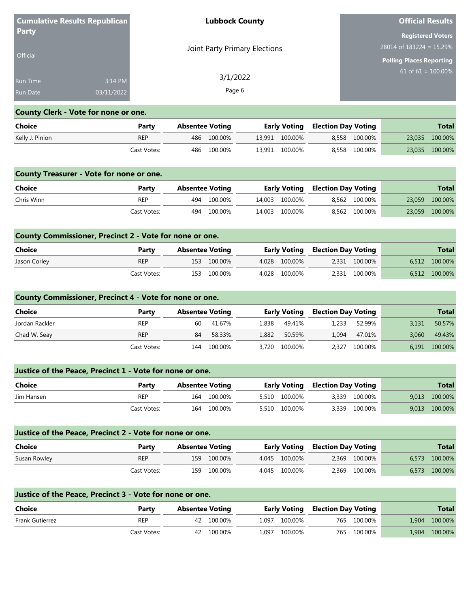| <b>Party</b>    | <b>Cumulative Results Republican</b> | <b>Lubbock County</b>         | <b>Official Results</b>         |
|-----------------|--------------------------------------|-------------------------------|---------------------------------|
|                 |                                      |                               | <b>Registered Voters</b>        |
|                 |                                      | Joint Party Primary Elections | $28014$ of $183224 = 15.29\%$   |
| Official        |                                      |                               | <b>Polling Places Reporting</b> |
| <b>Run Time</b> | 3:14 PM                              | 3/1/2022                      | 61 of $61 = 100.00\%$           |
| <b>Run Date</b> | 03/11/2022                           | Page 6                        |                                 |

# **County Clerk - Vote for none or one.**

| Choice          | Party       | Absentee Voting |             |                | <b>Early Voting Election Day Voting</b> |               | <b>Total</b>   |
|-----------------|-------------|-----------------|-------------|----------------|-----------------------------------------|---------------|----------------|
| Kelly J. Pinion | <b>REP</b>  |                 | 486 100.00% | 13.991 100.00% |                                         | 8.558 100.00% | 23,035 100.00% |
|                 | Cast Votes: |                 | 486 100.00% | 13,991 100.00% |                                         | 8,558 100.00% | 23,035 100.00% |

|            |             |                        |             |                |                            |               | <b>County Treasurer - Vote for none or one.</b> |                |  |  |  |  |  |  |  |  |  |
|------------|-------------|------------------------|-------------|----------------|----------------------------|---------------|-------------------------------------------------|----------------|--|--|--|--|--|--|--|--|--|
| Choice     | Party       | <b>Absentee Voting</b> |             | Early Voting   | <b>Election Day Voting</b> |               |                                                 | <b>Total</b>   |  |  |  |  |  |  |  |  |  |
| Chris Winn | REP         |                        | 494 100.00% | 14.003 100.00% |                            | 8.562 100.00% |                                                 | 23,059 100.00% |  |  |  |  |  |  |  |  |  |
|            | Cast Votes: |                        | 494 100.00% | 14.003 100.00% |                            | 8.562 100.00% |                                                 | 23,059 100.00% |  |  |  |  |  |  |  |  |  |

| County Commissioner, Precinct 2 - Vote for none or one. |             |                        |             |               |                                         |               |               |
|---------------------------------------------------------|-------------|------------------------|-------------|---------------|-----------------------------------------|---------------|---------------|
| Choice                                                  | Party       | <b>Absentee Voting</b> |             |               | <b>Early Voting Election Day Voting</b> |               | <b>Total</b>  |
| Jason Corley                                            | <b>REP</b>  |                        | 153 100.00% | 4.028 100.00% |                                         | 2,331 100.00% | 6,512 100.00% |
|                                                         | Cast Votes: |                        | 153 100.00% | 4.028 100.00% |                                         | 2,331 100.00% | 6,512 100.00% |

## **County Commissioner, Precinct 4 - Vote for none or one.**

| Choice         | Party       | <b>Absentee Voting</b> |             |       | Early Voting  | Election Day Voting |               |       | <b>Total</b> |
|----------------|-------------|------------------------|-------------|-------|---------------|---------------------|---------------|-------|--------------|
| Jordan Rackler | <b>REP</b>  | 60                     | 41.67%      | 1,838 | 49.41%        | 1.233               | 52.99%        | 3.131 | 50.57%       |
| Chad W. Seay   | <b>REP</b>  | 84                     | 58.33%      | 1,882 | 50.59%        | 1.094               | 47.01%        | 3.060 | 49.43%       |
|                | Cast Votes: |                        | 144 100.00% |       | 3,720 100.00% |                     | 2,327 100.00% | 6.191 | 100.00%      |

| Justice of the Peace, Precinct 1 - Vote for none or one. |             |                        |               |                                         |                  |  |  |  |  |  |
|----------------------------------------------------------|-------------|------------------------|---------------|-----------------------------------------|------------------|--|--|--|--|--|
| Choice                                                   | Party       | <b>Absentee Voting</b> |               | <b>Early Voting Election Day Voting</b> | <b>Total</b>     |  |  |  |  |  |
| Jim Hansen                                               | <b>REP</b>  | 164 100.00%            | 5,510 100.00% | 3.339 100.00%                           | 100.00%<br>9.013 |  |  |  |  |  |
|                                                          | Cast Votes: | 100.00%<br>164         | 5,510 100.00% | 3.339 100.00%                           | 9,013 100.00%    |  |  |  |  |  |

| Justice of the Peace, Precinct 2 - Vote for none or one. |             |                        |             |  |               |                                         |               |       |              |  |
|----------------------------------------------------------|-------------|------------------------|-------------|--|---------------|-----------------------------------------|---------------|-------|--------------|--|
| Choice                                                   | Party       | <b>Absentee Voting</b> |             |  |               | <b>Early Voting Election Day Voting</b> |               |       | <b>Total</b> |  |
| Susan Rowley                                             | <b>REP</b>  |                        | 159 100.00% |  | 4.045 100.00% |                                         | 2.369 100.00% | 6.573 | 100.00%      |  |
|                                                          | Cast Votes: | 159.                   | 100.00%     |  | 4.045 100.00% |                                         | 2,369 100.00% | 6.573 | 100.00%      |  |

| Justice of the Peace, Precinct 3 - Vote for none or one. |             |                        |               |                                         |                  |  |  |  |  |  |
|----------------------------------------------------------|-------------|------------------------|---------------|-----------------------------------------|------------------|--|--|--|--|--|
| Choice                                                   | Party       | <b>Absentee Voting</b> |               | <b>Early Voting Election Day Voting</b> | <b>Total</b>     |  |  |  |  |  |
| Frank Gutierrez                                          | <b>REP</b>  | 42 100.00%             | 1.097 100.00% | 765 100.00%                             | 100.00%<br>1.904 |  |  |  |  |  |
|                                                          | Cast Votes: | 42 100.00%             | 1.097 100.00% | 765 100.00%                             | 100.00%<br>1.904 |  |  |  |  |  |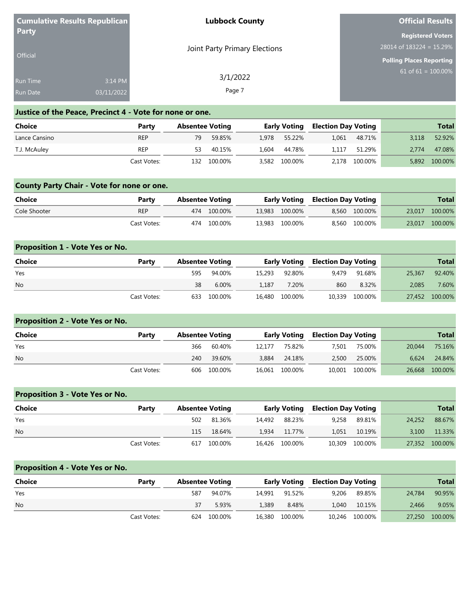|                 | <b>Cumulative Results Republican</b> | <b>Lubbock County</b>         | <b>Official Results</b>         |
|-----------------|--------------------------------------|-------------------------------|---------------------------------|
| <b>Party</b>    |                                      |                               | <b>Registered Voters</b>        |
|                 |                                      | Joint Party Primary Elections | $28014$ of 183224 = 15.29%      |
| <b>Official</b> |                                      |                               | <b>Polling Places Reporting</b> |
| <b>Run Time</b> | 3:14 PM                              | 3/1/2022                      | 61 of 61 = $100.00\%$           |
|                 |                                      |                               |                                 |
| <b>Run Date</b> | 03/11/2022                           | Page 7                        |                                 |

## **Justice of the Peace, Precinct 4 - Vote for none or one.**

| Choice        | Party       | <b>Absentee Voting</b> |             |               | <b>Early Voting Election Day Voting</b> |               |       | <b>Total</b> |
|---------------|-------------|------------------------|-------------|---------------|-----------------------------------------|---------------|-------|--------------|
| Lance Cansino | <b>REP</b>  | 79                     | 59.85%      | 1.978 55.22%  | 1.061                                   | 48.71%        | 3.118 | 52.92%       |
| T.J. McAuley  | REP         | 53                     | 40.15%      | 1.604 44.78%  | 1.117                                   | 51.29%        | 2.774 | 47.08%       |
|               | Cast Votes: |                        | 132 100.00% | 3,582 100.00% |                                         | 2,178 100.00% | 5,892 | 100.00%      |

## **County Party Chair - Vote for none or one.**

| Choice       | Party       | <b>Absentee Voting</b> |             |  |                | <b>Early Voting Election Day Voting</b> |               | <b>Total</b>   |
|--------------|-------------|------------------------|-------------|--|----------------|-----------------------------------------|---------------|----------------|
| Cole Shooter | <b>REP</b>  |                        | 474 100.00% |  | 13.983 100.00% |                                         | 8.560 100.00% | 23,017 100.00% |
|              | Cast Votes: |                        | 474 100.00% |  | 13.983 100.00% |                                         | 8.560 100.00% | 23,017 100.00% |

| <b>Proposition 1 - Vote Yes or No.</b> |             |                        |         |        |                     |                            |                |        |                |
|----------------------------------------|-------------|------------------------|---------|--------|---------------------|----------------------------|----------------|--------|----------------|
| <b>Choice</b>                          | Party       | <b>Absentee Voting</b> |         |        | <b>Early Voting</b> | <b>Election Day Voting</b> |                |        | <b>Total</b>   |
| Yes                                    |             | 595                    | 94.00%  | 15,293 | 92.80%              | 9.479                      | 91.68%         | 25,367 | 92.40%         |
| <b>No</b>                              |             | 38                     | 6.00%   | 1.187  | 7.20%               | 860                        | 8.32%          | 2.085  | 7.60%          |
|                                        | Cast Votes: | 633                    | 100.00% | 16.480 | 100.00%             |                            | 10,339 100.00% |        | 27,452 100.00% |

| <b>Proposition 2 - Vote Yes or No.</b> |             |                        |             |        |                     |                            |                |        |              |
|----------------------------------------|-------------|------------------------|-------------|--------|---------------------|----------------------------|----------------|--------|--------------|
| Choice                                 | Party       | <b>Absentee Voting</b> |             |        | <b>Early Voting</b> | <b>Election Day Voting</b> |                |        | <b>Total</b> |
| Yes                                    |             | 366                    | 60.40%      | 12.177 | 75.82%              | 7.501                      | 75.00%         | 20,044 | 75.16%       |
| <b>No</b>                              |             | 240                    | 39.60%      | 3,884  | 24.18%              | 2,500                      | 25.00%         | 6.624  | 24.84%       |
|                                        | Cast Votes: |                        | 606 100.00% |        | 16,061 100.00%      |                            | 10,001 100.00% | 26.668 | 100.00%      |

| <b>Proposition 3 - Vote Yes or No.</b> |             |     |                        |        |                |                            |                |        |              |
|----------------------------------------|-------------|-----|------------------------|--------|----------------|----------------------------|----------------|--------|--------------|
| <b>Choice</b>                          | Party       |     | <b>Absentee Voting</b> |        | Early Voting   | <b>Election Day Voting</b> |                |        | <b>Total</b> |
| Yes                                    |             | 502 | 81.36%                 | 14.492 | 88.23%         | 9.258                      | 89.81%         | 24.252 | 88.67%       |
| No.                                    |             | 115 | 18.64%                 | 1.934  | 11.77%         | 1.051                      | 10.19%         | 3.100  | 11.33%       |
|                                        | Cast Votes: |     | 617 100.00%            |        | 16,426 100.00% |                            | 10,309 100.00% | 27,352 | 100.00%      |

| <b>Proposition 4 - Vote Yes or No.</b> |             |                        |         |        |         |                                         |                |        |              |
|----------------------------------------|-------------|------------------------|---------|--------|---------|-----------------------------------------|----------------|--------|--------------|
| Choice                                 | Party       | <b>Absentee Voting</b> |         |        |         | <b>Early Voting Election Day Voting</b> |                |        | <b>Total</b> |
| Yes                                    |             | 587                    | 94.07%  | 14.991 | 91.52%  | 9,206                                   | 89.85%         | 24,784 | 90.95%       |
| <b>No</b>                              |             |                        | 5.93%   | 1.389  | 8.48%   | 1.040                                   | 10.15%         | 2.466  | 9.05%        |
|                                        | Cast Votes: | 624                    | 100.00% | 16,380 | 100.00% |                                         | 10,246 100.00% | 27,250 | 100.00%      |